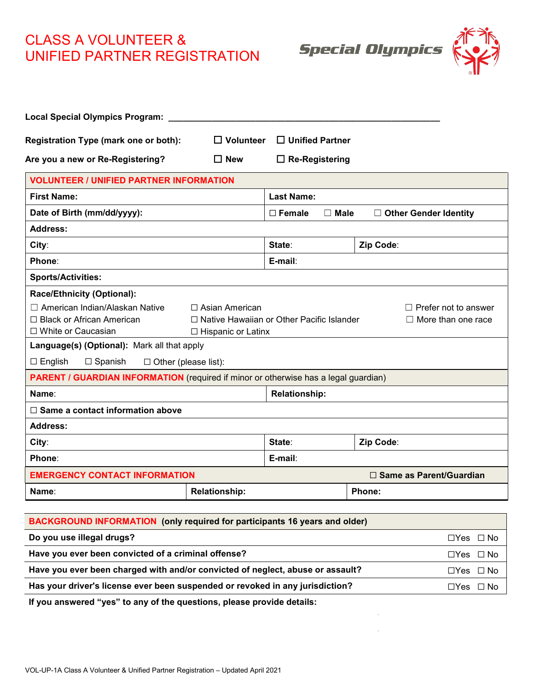## CLASS A VOLUNTEER & UNIFIED PARTNER REGISTRATION

**Special Olympics** 



| Local Special Olympics Program: _                                                          |                                                                                                  |                       |  |           |  |  |
|--------------------------------------------------------------------------------------------|--------------------------------------------------------------------------------------------------|-----------------------|--|-----------|--|--|
| Registration Type (mark one or both):<br>$\Box$ Unified Partner<br>$\Box$ Volunteer        |                                                                                                  |                       |  |           |  |  |
| Are you a new or Re-Registering?                                                           | $\Box$ New                                                                                       | $\Box$ Re-Registering |  |           |  |  |
| <b>VOLUNTEER / UNIFIED PARTNER INFORMATION</b>                                             |                                                                                                  |                       |  |           |  |  |
| <b>First Name:</b>                                                                         | <b>Last Name:</b>                                                                                |                       |  |           |  |  |
| Date of Birth (mm/dd/yyyy):                                                                | $\Box$ Male<br>$\Box$ Female<br>$\Box$ Other Gender Identity                                     |                       |  |           |  |  |
| <b>Address:</b>                                                                            |                                                                                                  |                       |  |           |  |  |
| City:                                                                                      |                                                                                                  | State:                |  | Zip Code: |  |  |
| Phone:                                                                                     | E-mail:                                                                                          |                       |  |           |  |  |
| <b>Sports/Activities:</b>                                                                  |                                                                                                  |                       |  |           |  |  |
| Race/Ethnicity (Optional):                                                                 |                                                                                                  |                       |  |           |  |  |
| □ American Indian/Alaskan Native<br>$\Box$ Asian American<br>$\Box$ Prefer not to answer   |                                                                                                  |                       |  |           |  |  |
| □ Black or African American<br>□ White or Caucasian                                        | □ Native Hawaiian or Other Pacific Islander<br>$\Box$ More than one race<br>□ Hispanic or Latinx |                       |  |           |  |  |
| Language(s) (Optional): Mark all that apply                                                |                                                                                                  |                       |  |           |  |  |
| $\Box$ English<br>$\Box$ Spanish<br>$\Box$ Other (please list):                            |                                                                                                  |                       |  |           |  |  |
| <b>PARENT / GUARDIAN INFORMATION</b> (required if minor or otherwise has a legal guardian) |                                                                                                  |                       |  |           |  |  |
| Name:                                                                                      |                                                                                                  | <b>Relationship:</b>  |  |           |  |  |
| $\Box$ Same a contact information above                                                    |                                                                                                  |                       |  |           |  |  |
| <b>Address:</b>                                                                            |                                                                                                  |                       |  |           |  |  |
| City:                                                                                      |                                                                                                  | State:                |  | Zip Code: |  |  |
| Phone:                                                                                     |                                                                                                  | E-mail:               |  |           |  |  |
| <b>EMERGENCY CONTACT INFORMATION</b><br>□ Same as Parent/Guardian                          |                                                                                                  |                       |  |           |  |  |
| Name∶                                                                                      | <b>Relationship:</b>                                                                             |                       |  | Phone:    |  |  |
|                                                                                            |                                                                                                  |                       |  |           |  |  |

| <b>BACKGROUND INFORMATION</b> (only required for participants 16 years and older) |                      |  |  |
|-----------------------------------------------------------------------------------|----------------------|--|--|
| Do you use illegal drugs?                                                         | $\Box$ Yes $\Box$ No |  |  |
| Have you ever been convicted of a criminal offense?                               | $\Box$ Yes $\Box$ No |  |  |
| Have you ever been charged with and/or convicted of neglect, abuse or assault?    | $\Box$ Yes $\Box$ No |  |  |
| Has your driver's license ever been suspended or revoked in any jurisdiction?     | $\Box$ Yes $\Box$ No |  |  |

**If you answered "yes" to any of the questions, please provide details:**